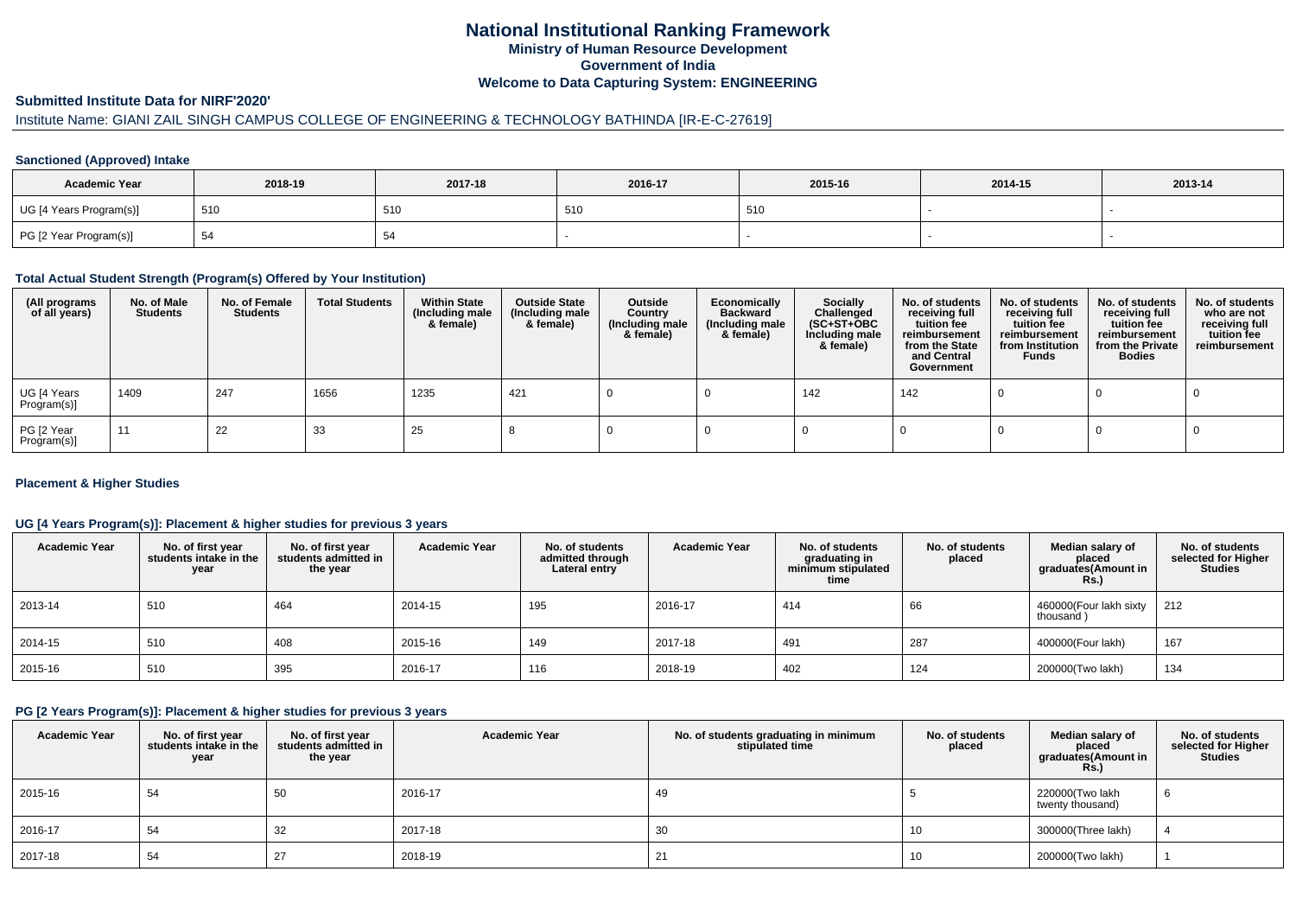## **National Institutional Ranking FrameworkMinistry of Human Resource DevelopmentGovernment of IndiaWelcome to Data Capturing System: ENGINEERING**

## **Submitted Institute Data for NIRF'2020'**

# Institute Name: GIANI ZAIL SINGH CAMPUS COLLEGE OF ENGINEERING & TECHNOLOGY BATHINDA [IR-E-C-27619]

## **Sanctioned (Approved) Intake**

| <b>Academic Year</b>    | 2018-19 | 2017-18 | 2016-17 | 2015-16 | 2014-15 | 2013-14 |
|-------------------------|---------|---------|---------|---------|---------|---------|
| UG [4 Years Program(s)] | 510     | 510     | 510     | 510     |         |         |
| PG [2 Year Program(s)]  | -ت      |         |         |         |         |         |

#### **Total Actual Student Strength (Program(s) Offered by Your Institution)**

| (All programs<br>of all years) | No. of Male<br><b>Students</b> | No. of Female<br>Students | <b>Total Students</b> | <b>Within State</b><br>(Including male<br>& female) | <b>Outside State</b><br>(Including male<br>& female) | Outside<br>Country<br>(Including male<br>& female) | Economically<br><b>Backward</b><br>(Including male<br>& female) | <b>Socially</b><br>Challenged<br>$(SC+ST+OBC)$<br>Including male<br>& female) | No. of students<br>receiving full<br>tuition fee<br>reimbursement<br>from the State<br>and Central<br>Government | No. of students<br>receiving full<br>tuition fee<br>reimbursement<br>from Institution<br><b>Funds</b> | No. of students<br>receiving full<br>tuition fee<br>reimbursement<br>from the Private<br><b>Bodies</b> | No. of students<br>who are not<br>receiving full<br>tuition fee<br>reimbursement |
|--------------------------------|--------------------------------|---------------------------|-----------------------|-----------------------------------------------------|------------------------------------------------------|----------------------------------------------------|-----------------------------------------------------------------|-------------------------------------------------------------------------------|------------------------------------------------------------------------------------------------------------------|-------------------------------------------------------------------------------------------------------|--------------------------------------------------------------------------------------------------------|----------------------------------------------------------------------------------|
| UG [4 Years<br>Program(s)]     | 1409                           | 247                       | 1656                  | 1235                                                | 421                                                  |                                                    |                                                                 | 142                                                                           | 142                                                                                                              |                                                                                                       |                                                                                                        |                                                                                  |
| PG [2 Year<br>Program(s)]      | 11                             | 22                        | 33                    | 25                                                  |                                                      |                                                    |                                                                 |                                                                               |                                                                                                                  |                                                                                                       |                                                                                                        |                                                                                  |

## **Placement & Higher Studies**

## **UG [4 Years Program(s)]: Placement & higher studies for previous 3 years**

| <b>Academic Year</b> | No. of first year<br>students intake in the<br>year | No. of first vear<br>students admitted in<br>the year | <b>Academic Year</b> | No. of students<br>admitted through<br>Lateral entry | <b>Academic Year</b> | No. of students<br>graduating in<br>minimum stipulated<br>time | No. of students<br>placed | Median salary of<br>placed<br>graduates(Amount in<br><b>Rs.)</b> | No. of students<br>selected for Higher<br>Studies |
|----------------------|-----------------------------------------------------|-------------------------------------------------------|----------------------|------------------------------------------------------|----------------------|----------------------------------------------------------------|---------------------------|------------------------------------------------------------------|---------------------------------------------------|
| 2013-14              | 510                                                 | 464                                                   | 2014-15              | 195                                                  | 2016-17              | 414                                                            | 66                        | 460000(Four lakh sixty<br>thousand)                              | 212                                               |
| 2014-15              | 510                                                 | 408                                                   | 2015-16              | 149                                                  | 2017-18              | 491                                                            | 287                       | 400000(Four lakh)                                                | 167                                               |
| 2015-16              | 510                                                 | 395                                                   | 2016-17              | 116                                                  | 2018-19              | 402                                                            | 124                       | 200000(Two lakh)                                                 | 134                                               |

#### **PG [2 Years Program(s)]: Placement & higher studies for previous 3 years**

| <b>Academic Year</b> | No. of first year<br>students intake in the<br>year | No. of first year<br>students admitted in<br>the year | <b>Academic Year</b> | No. of students graduating in minimum<br>stipulated time | No. of students<br>placed | Median salary of<br>placed<br>graduates(Amount in<br><b>Rs.)</b> | No. of students<br>selected for Higher<br><b>Studies</b> |
|----------------------|-----------------------------------------------------|-------------------------------------------------------|----------------------|----------------------------------------------------------|---------------------------|------------------------------------------------------------------|----------------------------------------------------------|
| 2015-16              | 54                                                  | -50                                                   | 2016-17              | 49                                                       |                           | 220000(Two lakh<br>twenty thousand)                              |                                                          |
| 2016-17              | 54                                                  | 32                                                    | 2017-18              | 30                                                       | 10                        | 300000(Three lakh)                                               |                                                          |
| 2017-18              | 54                                                  |                                                       | 2018-19              | 21                                                       | 10                        | 200000(Two lakh)                                                 |                                                          |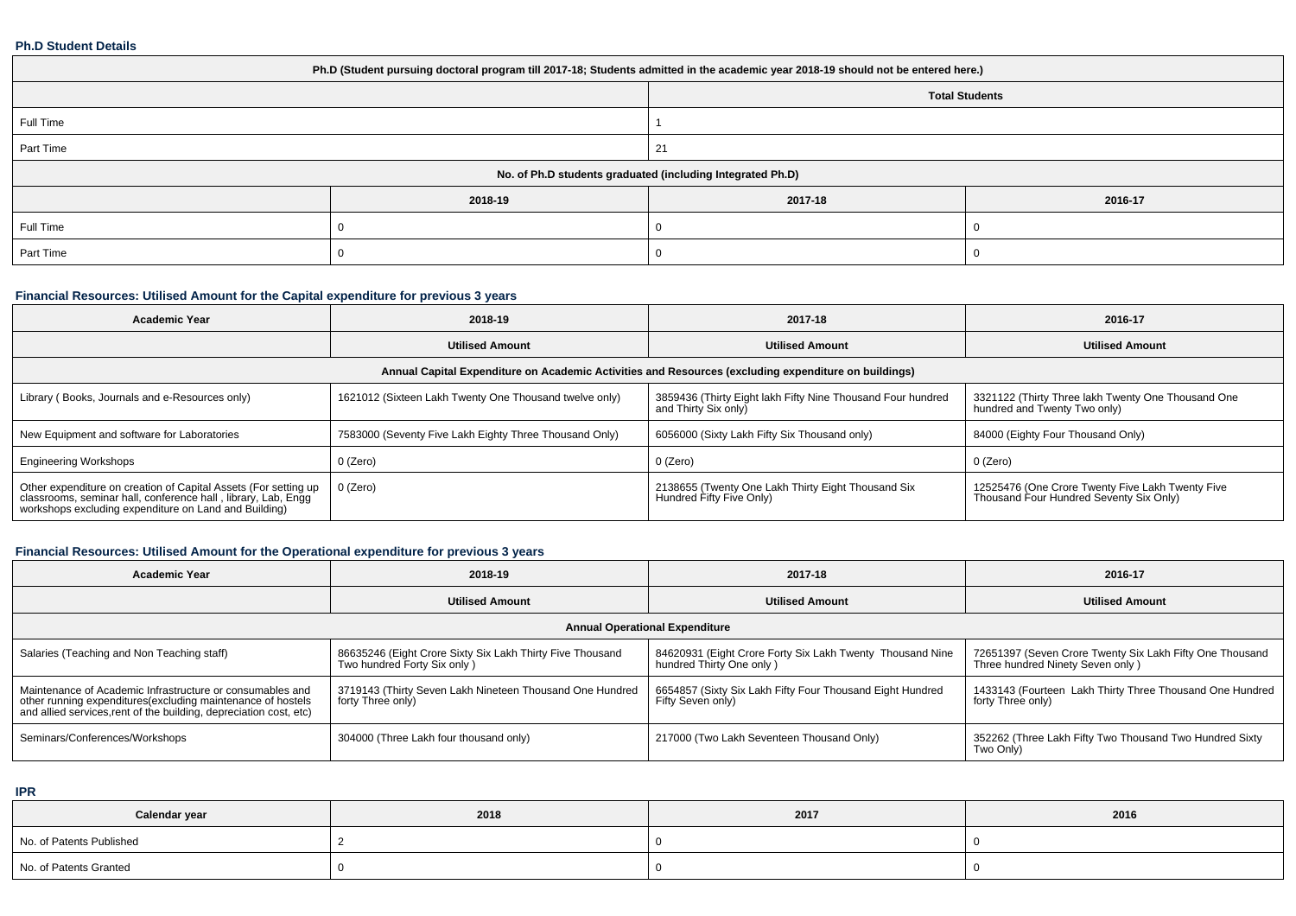#### **Ph.D Student Details**

| Ph.D (Student pursuing doctoral program till 2017-18; Students admitted in the academic year 2018-19 should not be entered here.) |         |                       |         |  |
|-----------------------------------------------------------------------------------------------------------------------------------|---------|-----------------------|---------|--|
|                                                                                                                                   |         | <b>Total Students</b> |         |  |
| Full Time                                                                                                                         |         |                       |         |  |
| Part Time                                                                                                                         |         | 21                    |         |  |
| No. of Ph.D students graduated (including Integrated Ph.D)                                                                        |         |                       |         |  |
|                                                                                                                                   | 2018-19 | 2017-18               | 2016-17 |  |
| Full Time                                                                                                                         |         |                       |         |  |
| Part Time                                                                                                                         |         |                       |         |  |

## **Financial Resources: Utilised Amount for the Capital expenditure for previous 3 years**

| <b>Academic Year</b>                                                                                                                                                                      | 2018-19                                                                                              | 2017-18                                                                             | 2016-17                                                                                     |  |  |  |
|-------------------------------------------------------------------------------------------------------------------------------------------------------------------------------------------|------------------------------------------------------------------------------------------------------|-------------------------------------------------------------------------------------|---------------------------------------------------------------------------------------------|--|--|--|
|                                                                                                                                                                                           | <b>Utilised Amount</b>                                                                               | <b>Utilised Amount</b>                                                              | <b>Utilised Amount</b>                                                                      |  |  |  |
|                                                                                                                                                                                           | Annual Capital Expenditure on Academic Activities and Resources (excluding expenditure on buildings) |                                                                                     |                                                                                             |  |  |  |
| Library (Books, Journals and e-Resources only)                                                                                                                                            | 1621012 (Sixteen Lakh Twenty One Thousand twelve only)                                               | 3859436 (Thirty Eight lakh Fifty Nine Thousand Four hundred<br>and Thirty Six only) | 3321122 (Thirty Three lakh Twenty One Thousand One<br>hundred and Twenty Two only)          |  |  |  |
| New Equipment and software for Laboratories                                                                                                                                               | 7583000 (Seventy Five Lakh Eighty Three Thousand Only)                                               | 6056000 (Sixty Lakh Fifty Six Thousand only)                                        | 84000 (Eighty Four Thousand Only)                                                           |  |  |  |
| <b>Engineering Workshops</b>                                                                                                                                                              | 0 (Zero)                                                                                             | 0 (Zero)                                                                            | 0 (Zero)                                                                                    |  |  |  |
| Other expenditure on creation of Capital Assets (For setting up<br>classrooms, seminar hall, conference hall, library, Lab, Engg<br>workshops excluding expenditure on Land and Building) | 0 (Zero)                                                                                             | 2138655 (Twenty One Lakh Thirty Eight Thousand Six<br>Hundred Fifty Five Only)      | 12525476 (One Crore Twenty Five Lakh Twenty Five<br>Thousand Four Hundred Seventy Six Only) |  |  |  |

## **Financial Resources: Utilised Amount for the Operational expenditure for previous 3 years**

| <b>Academic Year</b>                                                                                                                                                                            | 2018-19                                                                                  | 2017-18                                                                               | 2016-17                                                                                      |  |  |
|-------------------------------------------------------------------------------------------------------------------------------------------------------------------------------------------------|------------------------------------------------------------------------------------------|---------------------------------------------------------------------------------------|----------------------------------------------------------------------------------------------|--|--|
|                                                                                                                                                                                                 | <b>Utilised Amount</b>                                                                   | <b>Utilised Amount</b>                                                                | <b>Utilised Amount</b>                                                                       |  |  |
| <b>Annual Operational Expenditure</b>                                                                                                                                                           |                                                                                          |                                                                                       |                                                                                              |  |  |
| Salaries (Teaching and Non Teaching staff)                                                                                                                                                      | 86635246 (Eight Crore Sixty Six Lakh Thirty Five Thousand<br>Two hundred Forty Six only) | 84620931 (Eight Crore Forty Six Lakh Twenty Thousand Nine<br>hundred Thirty One only) | 72651397 (Seven Crore Twenty Six Lakh Fifty One Thousand<br>Three hundred Ninety Seven only) |  |  |
| Maintenance of Academic Infrastructure or consumables and<br>other running expenditures (excluding maintenance of hostels<br>and allied services, rent of the building, depreciation cost, etc) | 3719143 (Thirty Seven Lakh Nineteen Thousand One Hundred<br>forty Three only)            | 6654857 (Sixty Six Lakh Fifty Four Thousand Eight Hundred<br>Fifty Seven only)        | 1433143 (Fourteen Lakh Thirty Three Thousand One Hundred<br>forty Three only)                |  |  |
| Seminars/Conferences/Workshops                                                                                                                                                                  | 304000 (Three Lakh four thousand only)                                                   | 217000 (Two Lakh Seventeen Thousand Only)                                             | 352262 (Three Lakh Fifty Two Thousand Two Hundred Sixty<br>Two Only)                         |  |  |

**IPR**

| Calendar year            | 2018 | 2017 | 2016 |
|--------------------------|------|------|------|
| No. of Patents Published |      |      |      |
| No. of Patents Granted   |      |      |      |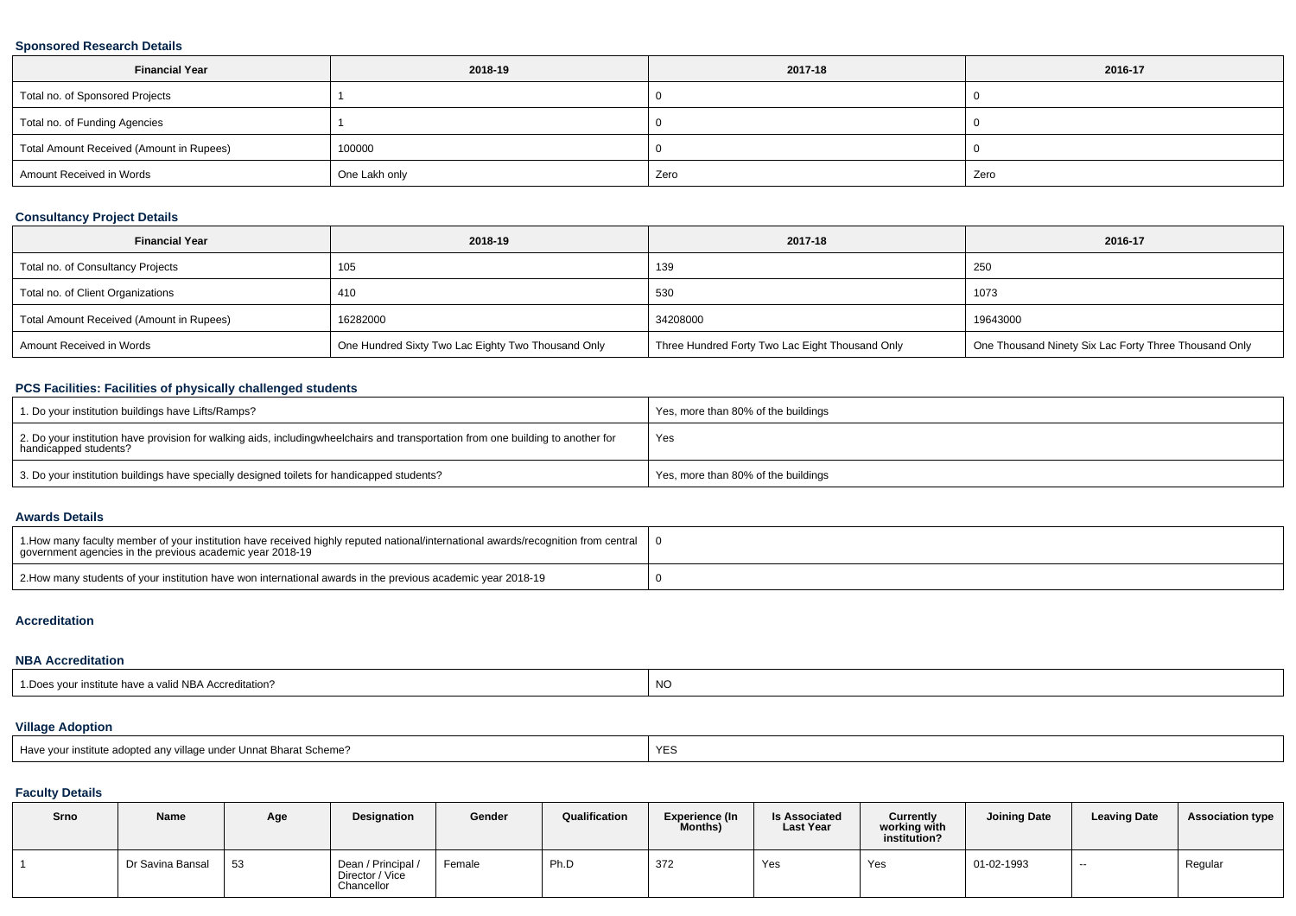## **Sponsored Research Details**

| <b>Financial Year</b>                    | 2018-19       | 2017-18 | 2016-17 |
|------------------------------------------|---------------|---------|---------|
| Total no. of Sponsored Projects          |               |         |         |
| Total no. of Funding Agencies            |               |         |         |
| Total Amount Received (Amount in Rupees) | 100000        |         |         |
| Amount Received in Words                 | One Lakh only | Zero    | Zero    |

## **Consultancy Project Details**

| <b>Financial Year</b>                    | 2018-19                                            | 2017-18                                         | 2016-17                                               |
|------------------------------------------|----------------------------------------------------|-------------------------------------------------|-------------------------------------------------------|
| Total no. of Consultancy Projects        | 105                                                | 139                                             | 250                                                   |
| Total no. of Client Organizations        | 410                                                | 530                                             | 1073                                                  |
| Total Amount Received (Amount in Rupees) | 16282000                                           | 34208000                                        | 19643000                                              |
| Amount Received in Words                 | One Hundred Sixty Two Lac Eighty Two Thousand Only | Three Hundred Forty Two Lac Eight Thousand Only | One Thousand Ninety Six Lac Forty Three Thousand Only |

# **PCS Facilities: Facilities of physically challenged students**

| 1. Do your institution buildings have Lifts/Ramps?                                                                                                        | Yes, more than 80% of the buildings |
|-----------------------------------------------------------------------------------------------------------------------------------------------------------|-------------------------------------|
| 2. Do your institution have provision for walking aids, includingwheelchairs and transportation from one building to another for<br>handicapped students? | Yes                                 |
| 3. Do your institution buildings have specially designed toilets for handicapped students?                                                                | Yes, more than 80% of the buildings |

#### **Awards Details**

| 1. How many faculty member of your institution have received highly reputed national/international awards/recognition from central<br>government agencies in the previous academic vear 2018-19 |  |
|-------------------------------------------------------------------------------------------------------------------------------------------------------------------------------------------------|--|
| 2. How many students of your institution have won international awards in the previous academic year 2018-19                                                                                    |  |

## **Accreditation**

## **NBA Accreditation**

| 1. Does your institute have a valid NBA Accreditation? | <b>NO</b> |
|--------------------------------------------------------|-----------|
|--------------------------------------------------------|-----------|

# **Village Adoption**

| Have vour institute adopted any village under Unnat Bharat Scheme? |  |
|--------------------------------------------------------------------|--|
|--------------------------------------------------------------------|--|

## **Faculty Details**

| Srno | Name             | Age | <b>Designation</b>                                  | Gender | Qualification | <b>Experience (In</b><br>Months) | <b>Is Associated</b><br><b>Last Year</b> | Currently<br>working with<br>institution? | <b>Joining Date</b> | <b>Leaving Date</b> | <b>Association type</b> |
|------|------------------|-----|-----------------------------------------------------|--------|---------------|----------------------------------|------------------------------------------|-------------------------------------------|---------------------|---------------------|-------------------------|
|      | Dr Savina Bansal | 53  | Dean / Principal /<br>Director / Vice<br>Chancellor | Female | Ph.D          | 372                              | Yes                                      | Yes                                       | 01-02-1993          | $\sim$              | Regular                 |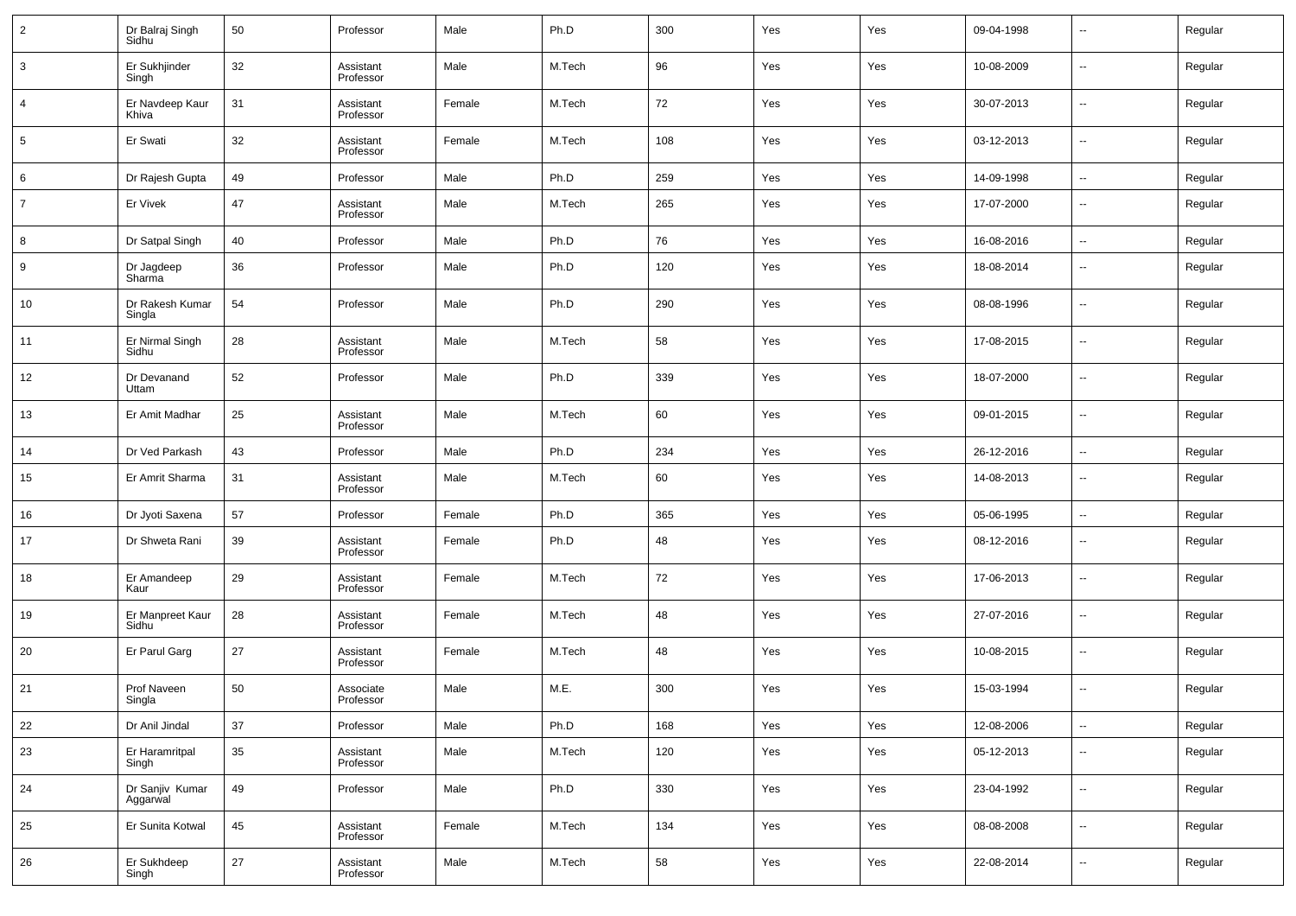| $\overline{2}$ | Dr Balraj Singh<br>Sidhu    | 50 | Professor              | Male   | Ph.D   | 300 | Yes | Yes | 09-04-1998 | $\overline{\phantom{a}}$ | Regular |
|----------------|-----------------------------|----|------------------------|--------|--------|-----|-----|-----|------------|--------------------------|---------|
| 3              | Er Sukhjinder<br>Singh      | 32 | Assistant<br>Professor | Male   | M.Tech | 96  | Yes | Yes | 10-08-2009 | $\overline{\phantom{a}}$ | Regular |
| 4              | Er Navdeep Kaur<br>Khiva    | 31 | Assistant<br>Professor | Female | M.Tech | 72  | Yes | Yes | 30-07-2013 | $\overline{\phantom{a}}$ | Regular |
| 5              | Er Swati                    | 32 | Assistant<br>Professor | Female | M.Tech | 108 | Yes | Yes | 03-12-2013 | $\overline{\phantom{a}}$ | Regular |
| 6              | Dr Rajesh Gupta             | 49 | Professor              | Male   | Ph.D   | 259 | Yes | Yes | 14-09-1998 | $\sim$                   | Regular |
| $\overline{7}$ | Er Vivek                    | 47 | Assistant<br>Professor | Male   | M.Tech | 265 | Yes | Yes | 17-07-2000 | $\overline{\phantom{a}}$ | Regular |
| 8              | Dr Satpal Singh             | 40 | Professor              | Male   | Ph.D   | 76  | Yes | Yes | 16-08-2016 | $\overline{\phantom{a}}$ | Regular |
| 9              | Dr Jagdeep<br>Sharma        | 36 | Professor              | Male   | Ph.D   | 120 | Yes | Yes | 18-08-2014 | $\overline{\phantom{a}}$ | Regular |
| 10             | Dr Rakesh Kumar<br>Singla   | 54 | Professor              | Male   | Ph.D   | 290 | Yes | Yes | 08-08-1996 | $\overline{\phantom{a}}$ | Regular |
| 11             | Er Nirmal Singh<br>Sidhu    | 28 | Assistant<br>Professor | Male   | M.Tech | 58  | Yes | Yes | 17-08-2015 | $\overline{\phantom{a}}$ | Regular |
| 12             | Dr Devanand<br>Uttam        | 52 | Professor              | Male   | Ph.D   | 339 | Yes | Yes | 18-07-2000 | $\sim$                   | Regular |
| 13             | Er Amit Madhar              | 25 | Assistant<br>Professor | Male   | M.Tech | 60  | Yes | Yes | 09-01-2015 | $\overline{\phantom{a}}$ | Regular |
| 14             | Dr Ved Parkash              | 43 | Professor              | Male   | Ph.D   | 234 | Yes | Yes | 26-12-2016 | $\sim$                   | Regular |
| 15             | Er Amrit Sharma             | 31 | Assistant<br>Professor | Male   | M.Tech | 60  | Yes | Yes | 14-08-2013 | $\overline{\phantom{a}}$ | Regular |
| 16             | Dr Jyoti Saxena             | 57 | Professor              | Female | Ph.D   | 365 | Yes | Yes | 05-06-1995 | $\overline{\phantom{a}}$ | Regular |
| 17             | Dr Shweta Rani              | 39 | Assistant<br>Professor | Female | Ph.D   | 48  | Yes | Yes | 08-12-2016 | $\overline{\phantom{a}}$ | Regular |
| 18             | Er Amandeep<br>Kaur         | 29 | Assistant<br>Professor | Female | M.Tech | 72  | Yes | Yes | 17-06-2013 | $\overline{\phantom{a}}$ | Regular |
| 19             | Er Manpreet Kaur<br>Sidhu   | 28 | Assistant<br>Professor | Female | M.Tech | 48  | Yes | Yes | 27-07-2016 | $\overline{\phantom{a}}$ | Regular |
| 20             | Er Parul Garg               | 27 | Assistant<br>Professor | Female | M.Tech | 48  | Yes | Yes | 10-08-2015 | $\overline{\phantom{a}}$ | Regular |
| 21             | Prof Naveen<br>Singla       | 50 | Associate<br>Professor | Male   | M.E.   | 300 | Yes | Yes | 15-03-1994 | $\overline{\phantom{a}}$ | Regular |
| $22\,$         | Dr Anil Jindal              | 37 | Professor              | Male   | Ph.D   | 168 | Yes | Yes | 12-08-2006 | $\sim$                   | Regular |
| 23             | Er Haramritpal<br>Singh     | 35 | Assistant<br>Professor | Male   | M.Tech | 120 | Yes | Yes | 05-12-2013 | $\overline{\phantom{a}}$ | Regular |
| 24             | Dr Sanjiv Kumar<br>Aggarwal | 49 | Professor              | Male   | Ph.D   | 330 | Yes | Yes | 23-04-1992 | $\overline{\phantom{a}}$ | Regular |
| 25             | Er Sunita Kotwal            | 45 | Assistant<br>Professor | Female | M.Tech | 134 | Yes | Yes | 08-08-2008 | $\overline{\phantom{a}}$ | Regular |
| 26             | Er Sukhdeep<br>Singh        | 27 | Assistant<br>Professor | Male   | M.Tech | 58  | Yes | Yes | 22-08-2014 | $\overline{\phantom{a}}$ | Regular |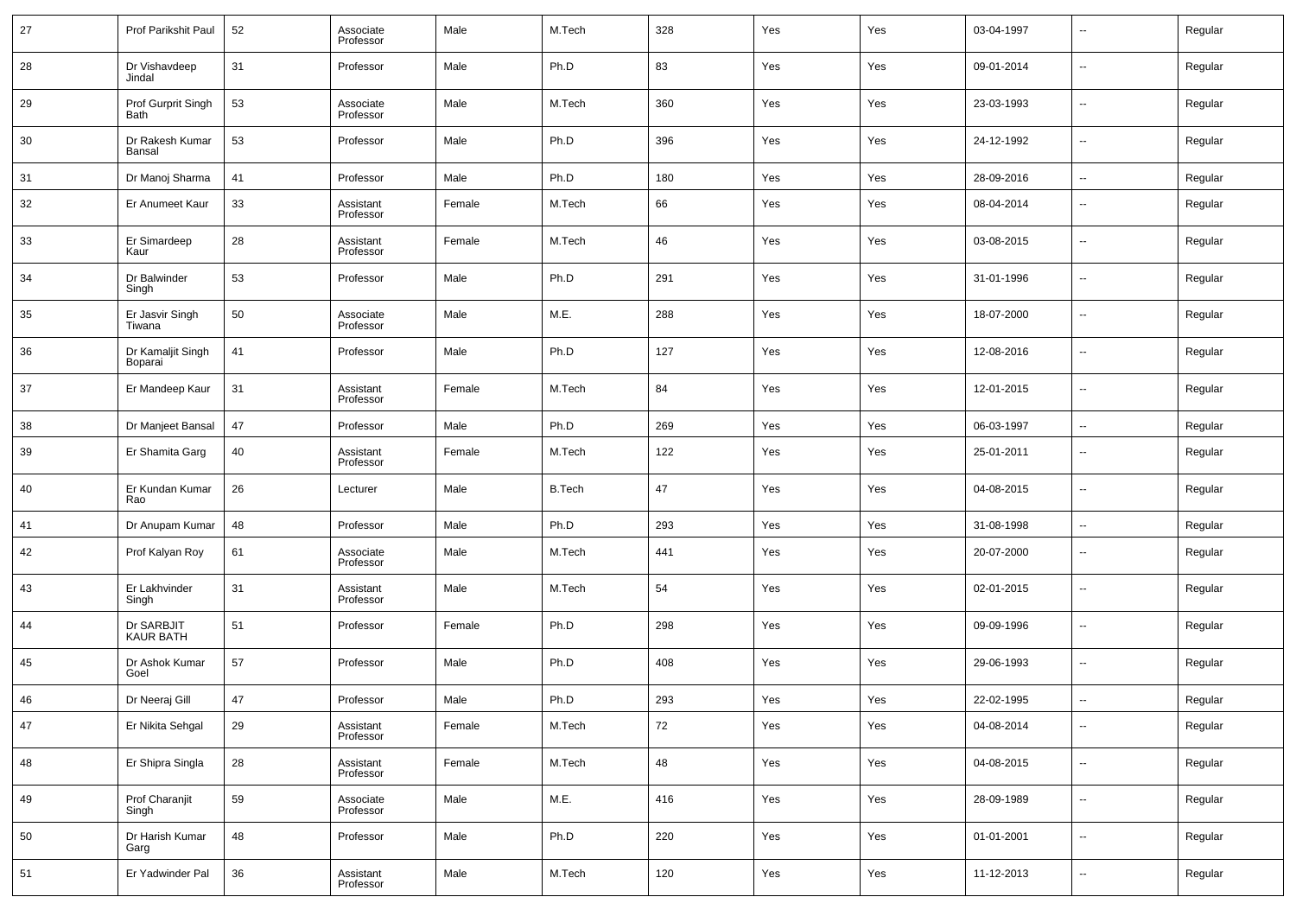| 27 | Prof Parikshit Paul            | 52 | Associate<br>Professor | Male   | M.Tech        | 328 | Yes | Yes | 03-04-1997 | $\overline{\phantom{a}}$ | Regular |
|----|--------------------------------|----|------------------------|--------|---------------|-----|-----|-----|------------|--------------------------|---------|
| 28 | Dr Vishavdeep<br>Jindal        | 31 | Professor              | Male   | Ph.D          | 83  | Yes | Yes | 09-01-2014 | $\ddotsc$                | Regular |
| 29 | Prof Gurprit Singh<br>Bath     | 53 | Associate<br>Professor | Male   | M.Tech        | 360 | Yes | Yes | 23-03-1993 | $\overline{\phantom{a}}$ | Regular |
| 30 | Dr Rakesh Kumar<br>Bansal      | 53 | Professor              | Male   | Ph.D          | 396 | Yes | Yes | 24-12-1992 | $\overline{\phantom{a}}$ | Regular |
| 31 | Dr Manoj Sharma                | 41 | Professor              | Male   | Ph.D          | 180 | Yes | Yes | 28-09-2016 | $\sim$                   | Regular |
| 32 | Er Anumeet Kaur                | 33 | Assistant<br>Professor | Female | M.Tech        | 66  | Yes | Yes | 08-04-2014 | $\overline{\phantom{a}}$ | Regular |
| 33 | Er Simardeep<br>Kaur           | 28 | Assistant<br>Professor | Female | M.Tech        | 46  | Yes | Yes | 03-08-2015 | $\sim$                   | Regular |
| 34 | Dr Balwinder<br>Singh          | 53 | Professor              | Male   | Ph.D          | 291 | Yes | Yes | 31-01-1996 | $\overline{\phantom{a}}$ | Regular |
| 35 | Er Jasvir Singh<br>Tiwana      | 50 | Associate<br>Professor | Male   | M.E.          | 288 | Yes | Yes | 18-07-2000 | $\sim$                   | Regular |
| 36 | Dr Kamaljit Singh<br>Boparai   | 41 | Professor              | Male   | Ph.D          | 127 | Yes | Yes | 12-08-2016 | $\overline{\phantom{a}}$ | Regular |
| 37 | Er Mandeep Kaur                | 31 | Assistant<br>Professor | Female | M.Tech        | 84  | Yes | Yes | 12-01-2015 | $\sim$                   | Regular |
| 38 | Dr Manjeet Bansal              | 47 | Professor              | Male   | Ph.D          | 269 | Yes | Yes | 06-03-1997 | $\sim$                   | Regular |
| 39 | Er Shamita Garg                | 40 | Assistant<br>Professor | Female | M.Tech        | 122 | Yes | Yes | 25-01-2011 | --                       | Regular |
| 40 | Er Kundan Kumar<br>Rao         | 26 | Lecturer               | Male   | <b>B.Tech</b> | 47  | Yes | Yes | 04-08-2015 | $\overline{\phantom{a}}$ | Regular |
| 41 | Dr Anupam Kumar                | 48 | Professor              | Male   | Ph.D          | 293 | Yes | Yes | 31-08-1998 | $\overline{\phantom{a}}$ | Regular |
| 42 | Prof Kalyan Roy                | 61 | Associate<br>Professor | Male   | M.Tech        | 441 | Yes | Yes | 20-07-2000 | $\overline{\phantom{a}}$ | Regular |
| 43 | Er Lakhvinder<br>Singh         | 31 | Assistant<br>Professor | Male   | M.Tech        | 54  | Yes | Yes | 02-01-2015 | $\overline{\phantom{a}}$ | Regular |
| 44 | Dr SARBJIT<br><b>KAUR BATH</b> | 51 | Professor              | Female | Ph.D          | 298 | Yes | Yes | 09-09-1996 | $\overline{\phantom{a}}$ | Regular |
| 45 | Dr Ashok Kumar<br>Goel         | 57 | Professor              | Male   | Ph.D          | 408 | Yes | Yes | 29-06-1993 | $\overline{\phantom{a}}$ | Regular |
| 46 | Dr Neeraj Gill                 | 47 | Professor              | Male   | Ph.D          | 293 | Yes | Yes | 22-02-1995 | $\overline{\phantom{a}}$ | Regular |
| 47 | Er Nikita Sehgal               | 29 | Assistant<br>Professor | Female | M.Tech        | 72  | Yes | Yes | 04-08-2014 | $\overline{\phantom{a}}$ | Regular |
| 48 | Er Shipra Singla               | 28 | Assistant<br>Professor | Female | M.Tech        | 48  | Yes | Yes | 04-08-2015 | $\sim$                   | Regular |
| 49 | Prof Charanjit<br>Singh        | 59 | Associate<br>Professor | Male   | M.E.          | 416 | Yes | Yes | 28-09-1989 | $\sim$                   | Regular |
| 50 | Dr Harish Kumar<br>Garg        | 48 | Professor              | Male   | Ph.D          | 220 | Yes | Yes | 01-01-2001 | $\sim$                   | Regular |
| 51 | Er Yadwinder Pal               | 36 | Assistant<br>Professor | Male   | M.Tech        | 120 | Yes | Yes | 11-12-2013 | $\overline{\phantom{a}}$ | Regular |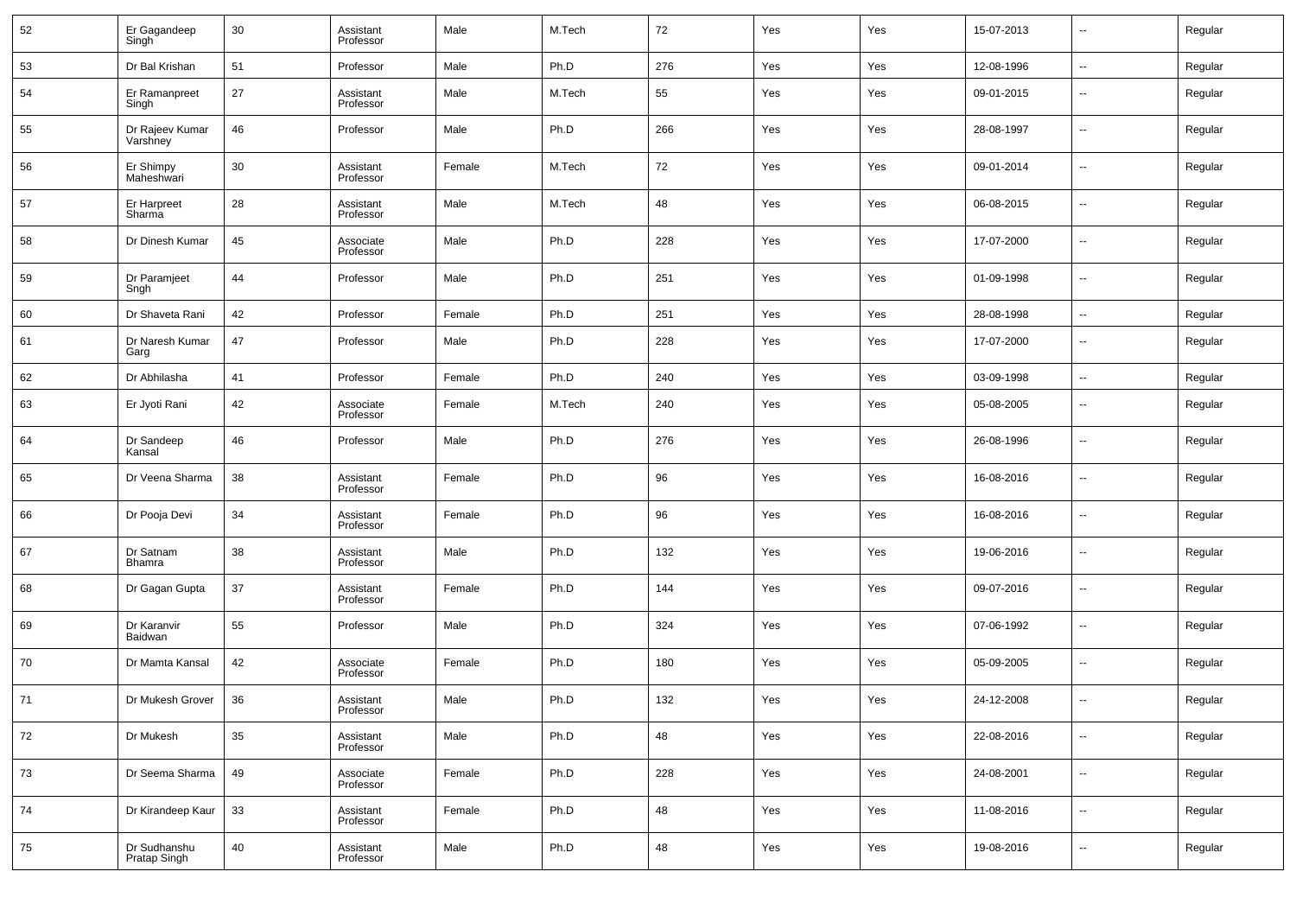| 52 | Er Gagandeep<br>Singh        | 30 | Assistant<br>Professor | Male   | M.Tech | 72  | Yes | Yes | 15-07-2013 | $\overline{\phantom{a}}$ | Regular |
|----|------------------------------|----|------------------------|--------|--------|-----|-----|-----|------------|--------------------------|---------|
| 53 | Dr Bal Krishan               | 51 | Professor              | Male   | Ph.D   | 276 | Yes | Yes | 12-08-1996 | $\overline{\phantom{a}}$ | Regular |
| 54 | Er Ramanpreet<br>Singh       | 27 | Assistant<br>Professor | Male   | M.Tech | 55  | Yes | Yes | 09-01-2015 | $\overline{\phantom{a}}$ | Regular |
| 55 | Dr Rajeev Kumar<br>Varshney  | 46 | Professor              | Male   | Ph.D   | 266 | Yes | Yes | 28-08-1997 | $\overline{\phantom{a}}$ | Regular |
| 56 | Er Shimpy<br>Maheshwari      | 30 | Assistant<br>Professor | Female | M.Tech | 72  | Yes | Yes | 09-01-2014 | $\overline{\phantom{a}}$ | Regular |
| 57 | Er Harpreet<br>Sharma        | 28 | Assistant<br>Professor | Male   | M.Tech | 48  | Yes | Yes | 06-08-2015 | $\overline{\phantom{a}}$ | Regular |
| 58 | Dr Dinesh Kumar              | 45 | Associate<br>Professor | Male   | Ph.D   | 228 | Yes | Yes | 17-07-2000 | $\overline{\phantom{a}}$ | Regular |
| 59 | Dr Paramjeet<br>Sngh         | 44 | Professor              | Male   | Ph.D   | 251 | Yes | Yes | 01-09-1998 | $\overline{\phantom{a}}$ | Regular |
| 60 | Dr Shaveta Rani              | 42 | Professor              | Female | Ph.D   | 251 | Yes | Yes | 28-08-1998 | $\overline{\phantom{a}}$ | Regular |
| 61 | Dr Naresh Kumar<br>Garg      | 47 | Professor              | Male   | Ph.D   | 228 | Yes | Yes | 17-07-2000 | $\overline{\phantom{a}}$ | Regular |
| 62 | Dr Abhilasha                 | 41 | Professor              | Female | Ph.D   | 240 | Yes | Yes | 03-09-1998 | $\overline{\phantom{a}}$ | Regular |
| 63 | Er Jyoti Rani                | 42 | Associate<br>Professor | Female | M.Tech | 240 | Yes | Yes | 05-08-2005 | $\overline{\phantom{a}}$ | Regular |
| 64 | Dr Sandeep<br>Kansal         | 46 | Professor              | Male   | Ph.D   | 276 | Yes | Yes | 26-08-1996 | --                       | Regular |
| 65 | Dr Veena Sharma              | 38 | Assistant<br>Professor | Female | Ph.D   | 96  | Yes | Yes | 16-08-2016 | --                       | Regular |
| 66 | Dr Pooja Devi                | 34 | Assistant<br>Professor | Female | Ph.D   | 96  | Yes | Yes | 16-08-2016 | --                       | Regular |
| 67 | Dr Satnam<br>Bhamra          | 38 | Assistant<br>Professor | Male   | Ph.D   | 132 | Yes | Yes | 19-06-2016 | --                       | Regular |
| 68 | Dr Gagan Gupta               | 37 | Assistant<br>Professor | Female | Ph.D   | 144 | Yes | Yes | 09-07-2016 | --                       | Regular |
| 69 | Dr Karanvir<br>Baidwan       | 55 | Professor              | Male   | Ph.D   | 324 | Yes | Yes | 07-06-1992 | --                       | Regular |
| 70 | Dr Mamta Kansal              | 42 | Associate<br>Professor | Female | Ph.D   | 180 | Yes | Yes | 05-09-2005 | --                       | Regular |
| 71 | Dr Mukesh Grover             | 36 | Assistant<br>Professor | Male   | Ph.D   | 132 | Yes | Yes | 24-12-2008 | --                       | Regular |
| 72 | Dr Mukesh                    | 35 | Assistant<br>Professor | Male   | Ph.D   | 48  | Yes | Yes | 22-08-2016 | $\overline{\phantom{a}}$ | Regular |
| 73 | Dr Seema Sharma              | 49 | Associate<br>Professor | Female | Ph.D   | 228 | Yes | Yes | 24-08-2001 | $\overline{\phantom{a}}$ | Regular |
| 74 | Dr Kirandeep Kaur            | 33 | Assistant<br>Professor | Female | Ph.D   | 48  | Yes | Yes | 11-08-2016 | $\overline{\phantom{a}}$ | Regular |
| 75 | Dr Sudhanshu<br>Pratap Singh | 40 | Assistant<br>Professor | Male   | Ph.D   | 48  | Yes | Yes | 19-08-2016 | $\overline{\phantom{a}}$ | Regular |